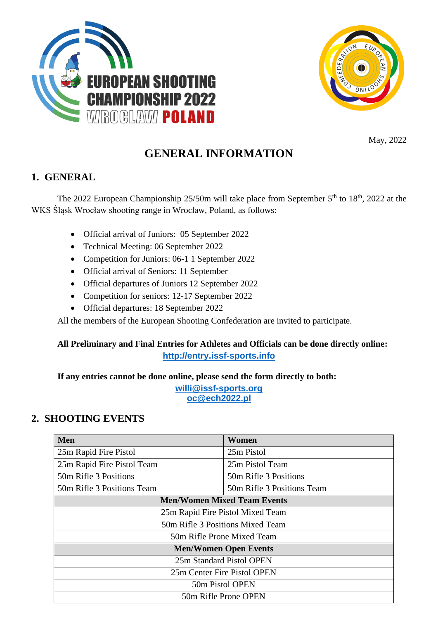



May, 2022

# **GENERAL INFORMATION**

### **1. GENERAL**

The 2022 European Championship  $25/50$ m will take place from September  $5<sup>th</sup>$  to  $18<sup>th</sup>$ , 2022 at the WKS Śląsk Wrocław shooting range in Wroclaw, Poland, as follows:

- Official arrival of Juniors: 05 September 2022
- Technical Meeting: 06 September 2022
- Competition for Juniors: 06-1 1 September 2022
- Official arrival of Seniors: 11 September
- Official departures of Juniors 12 September 2022
- Competition for seniors: 12-17 September 2022
- Official departures: 18 September 2022

All the members of the European Shooting Confederation are invited to participate.

### **All Preliminary and Final Entries for Athletes and Officials can be done directly online: [http://entry.issf-sports.info](http://entry.issf-sports.info/)**

**If any entries cannot be done online, please send the form directly to both:**

**[willi@issf-sports.org](mailto:willi@issf-sports.org) oc@ech2022.pl**

### **2. SHOOTING EVENTS**

| <b>Men</b>                         | Women                      |  |  |
|------------------------------------|----------------------------|--|--|
| 25m Rapid Fire Pistol              | 25m Pistol                 |  |  |
| 25m Rapid Fire Pistol Team         | 25m Pistol Team            |  |  |
| 50m Rifle 3 Positions              | 50m Rifle 3 Positions      |  |  |
| 50m Rifle 3 Positions Team         | 50m Rifle 3 Positions Team |  |  |
| <b>Men/Women Mixed Team Events</b> |                            |  |  |
| 25m Rapid Fire Pistol Mixed Team   |                            |  |  |
| 50m Rifle 3 Positions Mixed Team   |                            |  |  |
| 50m Rifle Prone Mixed Team         |                            |  |  |
| <b>Men/Women Open Events</b>       |                            |  |  |
| 25m Standard Pistol OPEN           |                            |  |  |
| 25m Center Fire Pistol OPEN        |                            |  |  |
| 50m Pistol OPEN                    |                            |  |  |
| 50m Rifle Prone OPEN               |                            |  |  |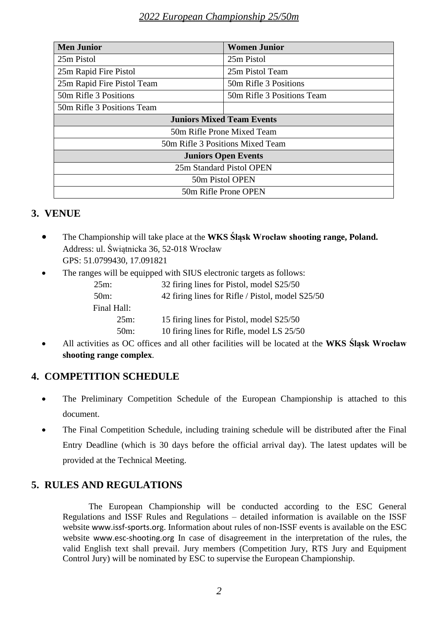| <b>Men Junior</b>                | <b>Women Junior</b>        |  |  |
|----------------------------------|----------------------------|--|--|
| 25m Pistol                       | 25m Pistol                 |  |  |
| 25m Rapid Fire Pistol            | 25m Pistol Team            |  |  |
| 25m Rapid Fire Pistol Team       | 50m Rifle 3 Positions      |  |  |
| 50m Rifle 3 Positions            | 50m Rifle 3 Positions Team |  |  |
| 50m Rifle 3 Positions Team       |                            |  |  |
| <b>Juniors Mixed Team Events</b> |                            |  |  |
| 50m Rifle Prone Mixed Team       |                            |  |  |
| 50m Rifle 3 Positions Mixed Team |                            |  |  |
| <b>Juniors Open Events</b>       |                            |  |  |
| 25m Standard Pistol OPEN         |                            |  |  |
| 50m Pistol OPEN                  |                            |  |  |
| 50m Rifle Prone OPEN             |                            |  |  |

# **3. VENUE**

- The Championship will take place at the **WKS Śląsk Wrocław shooting range, Poland.** Address: ul. Świątnicka 36, 52-018 Wrocław GPS: 51.0799430, 17.091821
- The ranges will be equipped with SIUS electronic targets as follows:

| 32 firing lines for Pistol, model S25/50         |
|--------------------------------------------------|
| 42 firing lines for Rifle / Pistol, model S25/50 |
|                                                  |
| 15 firing lines for Pistol, model S25/50         |
| 10 firing lines for Rifle, model LS 25/50        |
|                                                  |

• All activities as OC offices and all other facilities will be located at the **WKS Śląsk Wrocław shooting range complex**.

# **4. COMPETITION SCHEDULE**

- The Preliminary Competition Schedule of the European Championship is attached to this document.
- The Final Competition Schedule, including training schedule will be distributed after the Final Entry Deadline (which is 30 days before the official arrival day). The latest updates will be provided at the Technical Meeting.

# **5. RULES AND REGULATIONS**

The European Championship will be conducted according to the ESC General Regulations and ISSF Rules and Regulations – detailed information is available on the ISSF website [www.issf-sports.org](http://www.issf-sports.org/). Information about rules of non-ISSF events is available on the ESC website [www.esc-shooting.org](http://www.esc-shooting.org/) In case of disagreement in the interpretation of the rules, the valid English text shall prevail. Jury members (Competition Jury, RTS Jury and Equipment Control Jury) will be nominated by ESC to supervise the European Championship.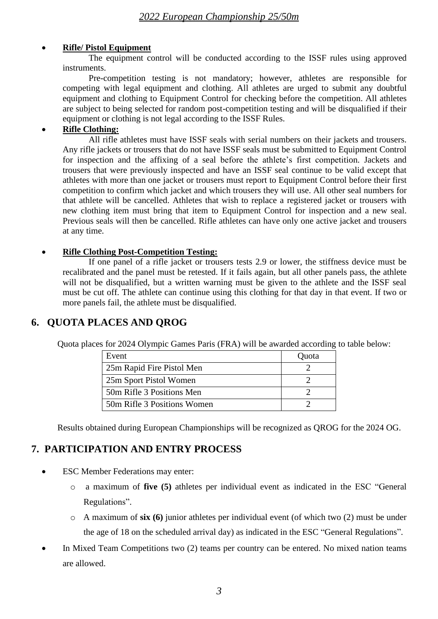#### • **Rifle/ Pistol Equipment**

The equipment control will be conducted according to the ISSF rules using approved instruments.

Pre-competition testing is not mandatory; however, athletes are responsible for competing with legal equipment and clothing. All athletes are urged to submit any doubtful equipment and clothing to Equipment Control for checking before the competition. All athletes are subject to being selected for random post-competition testing and will be disqualified if their equipment or clothing is not legal according to the ISSF Rules.

#### • **Rifle Clothing:**

All rifle athletes must have ISSF seals with serial numbers on their jackets and trousers. Any rifle jackets or trousers that do not have ISSF seals must be submitted to Equipment Control for inspection and the affixing of a seal before the athlete's first competition. Jackets and trousers that were previously inspected and have an ISSF seal continue to be valid except that athletes with more than one jacket or trousers must report to Equipment Control before their first competition to confirm which jacket and which trousers they will use. All other seal numbers for that athlete will be cancelled. Athletes that wish to replace a registered jacket or trousers with new clothing item must bring that item to Equipment Control for inspection and a new seal. Previous seals will then be cancelled. Rifle athletes can have only one active jacket and trousers at any time.

#### • **Rifle Clothing Post-Competition Testing:**

If one panel of a rifle jacket or trousers tests 2.9 or lower, the stiffness device must be recalibrated and the panel must be retested. If it fails again, but all other panels pass, the athlete will not be disqualified, but a written warning must be given to the athlete and the ISSF seal must be cut off. The athlete can continue using this clothing for that day in that event. If two or more panels fail, the athlete must be disqualified.

# **6. QUOTA PLACES AND QROG**

Quota places for 2024 Olympic Games Paris (FRA) will be awarded according to table below:

| Event                       | Quota |
|-----------------------------|-------|
| 25m Rapid Fire Pistol Men   |       |
| 25m Sport Pistol Women      |       |
| 50m Rifle 3 Positions Men   |       |
| 50m Rifle 3 Positions Women |       |

Results obtained during European Championships will be recognized as QROG for the 2024 OG.

# **7. PARTICIPATION AND ENTRY PROCESS**

- **ESC Member Federations may enter:** 
	- o a maximum of **five (5)** athletes per individual event as indicated in the ESC "General Regulations".
	- o A maximum of **six (6)** junior athletes per individual event (of which two (2) must be under the age of 18 on the scheduled arrival day) as indicated in the ESC "General Regulations".
- In Mixed Team Competitions two (2) teams per country can be entered. No mixed nation teams are allowed.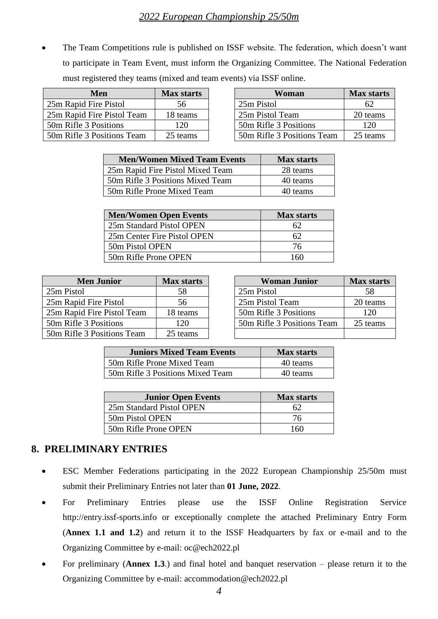• The Team Competitions rule is published on ISSF website. The federation, which doesn't want to participate in Team Event, must inform the Organizing Committee. The National Federation must registered they teams (mixed and team events) via ISSF online.

| <b>Men</b>                 | <b>Max starts</b> | Woman                      | <b>Max start</b> |
|----------------------------|-------------------|----------------------------|------------------|
| 25m Rapid Fire Pistol      | 56                | 25m Pistol                 |                  |
| 25m Rapid Fire Pistol Team | 18 teams          | 25m Pistol Team            | 20 teams         |
| 50m Rifle 3 Positions      | 120               | 50m Rifle 3 Positions      | 120              |
| 50m Rifle 3 Positions Team | 25 teams          | 50m Rifle 3 Positions Team | 25 teams         |

| Men              | <b>Max starts</b> | Woman                      | <b>Max starts</b> |
|------------------|-------------------|----------------------------|-------------------|
| Fire Pistol      | 56                | 25m Pistol                 | 62                |
| Fire Pistol Team | 18 teams          | 25m Pistol Team            | 20 teams          |
| <b>Positions</b> | 120               | 50m Rifle 3 Positions      | 120               |
| Positions Team   | 25 teams          | 50m Rifle 3 Positions Team | 25 teams          |

| <b>Men/Women Mixed Team Events</b> | <b>Max starts</b> |
|------------------------------------|-------------------|
| 25m Rapid Fire Pistol Mixed Team   | 28 teams          |
| 50m Rifle 3 Positions Mixed Team   | 40 teams          |
| 50m Rifle Prone Mixed Team         | 40 teams          |

| <b>Men/Women Open Events</b> | <b>Max starts</b> |
|------------------------------|-------------------|
| 25m Standard Pistol OPEN     |                   |
| 25m Center Fire Pistol OPEN  | 62                |
| 50m Pistol OPEN              | 76                |
| 50m Rifle Prone OPEN         | 160               |

| <b>Men Junior</b>          | <b>Max starts</b> | <b>Woman Junior</b>        | Max start |
|----------------------------|-------------------|----------------------------|-----------|
| 25m Pistol                 | 58                | 25m Pistol                 | 58        |
| 25m Rapid Fire Pistol      | 56                | 25m Pistol Team            | 20 teams  |
| 25m Rapid Fire Pistol Team | 18 teams          | 50m Rifle 3 Positions      | 120       |
| 50m Rifle 3 Positions      | 120               | 50m Rifle 3 Positions Team | 25 teams  |
| 50m Rifle 3 Positions Team | 25 teams          |                            |           |

| <b>Men Junior</b>    | <b>Max starts</b> | <b>Woman Junior</b>        | <b>Max starts</b> |
|----------------------|-------------------|----------------------------|-------------------|
| οl                   | 58                | 25m Pistol                 | 58                |
| id Fire Pistol       | 56                | 25m Pistol Team            | 20 teams          |
| vid Fire Pistol Team | 18 teams          | 50m Rifle 3 Positions      | 120               |
| le 3 Positions       | 120               | 50m Rifle 3 Positions Team | 25 teams          |
| le 3 Positions Team  | 25 teams          |                            |                   |

| <b>Juniors Mixed Team Events</b> | <b>Max starts</b> |
|----------------------------------|-------------------|
| 50m Rifle Prone Mixed Team       | 40 teams          |
| 50m Rifle 3 Positions Mixed Team | 40 teams          |

| <b>Junior Open Events</b> | <b>Max starts</b> |
|---------------------------|-------------------|
| 25m Standard Pistol OPEN  | 62                |
| 50m Pistol OPEN           | 76                |
| 50m Rifle Prone OPEN      |                   |

# **8. PRELIMINARY ENTRIES**

- ESC Member Federations participating in the 2022 European Championship 25/50m must submit their Preliminary Entries not later than **01 June, 2022**.
- For Preliminary Entries please use the ISSF Online Registration Service http://entry.issf-sports.info or exceptionally complete the attached Preliminary Entry Form (**Annex 1.1 and 1.2**) and return it to the ISSF Headquarters by fax or e-mail and to the Organizing Committee by e-mail: [oc@ech2022.pl](mailto:oc@ech2022.pl)
- For preliminary (**Annex 1.3**.) and final hotel and banquet reservation please return it to the Organizing Committee by e-mail: accommodation@ech2022.pl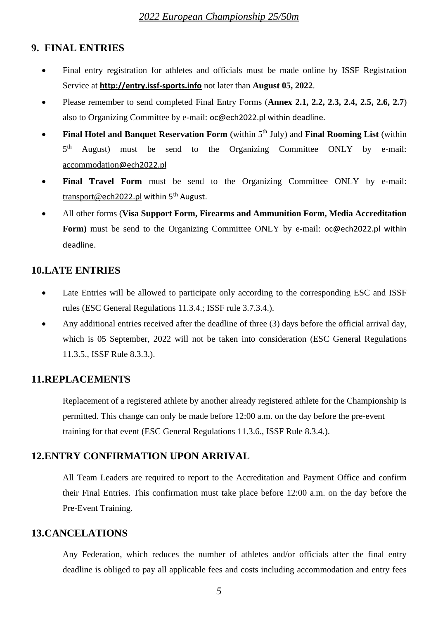### **9. FINAL ENTRIES**

- Final entry registration for athletes and officials must be made online by ISSF Registration Service at **[http://entry.issf-sports.info](http://entry.issf-sports.info/)** not later than **August 05, 2022**.
- Please remember to send completed Final Entry Forms (**Annex 2.1, 2.2, 2.3, 2.4, 2.5, 2.6, 2.7**) also to Organizing Committee by e-mail: [oc@ech2022.pl](mailto:oc@ech2022.pl) within deadline.
- Final Hotel and Banquet Reservation Form (within 5<sup>th</sup> July) and Final Rooming List (within  $5<sup>th</sup>$ August) must be send to the Organizing Committee ONLY by e-mail: [accommodation](mailto:accommodation@ech2022.pl)@ech2022.[pl](mailto:accommodation@ech2022.pl)
- **Final Travel Form** must be send to the Organizing Committee ONLY by e-mail: t<u>ransport@ech202[2.pl](mailto:transport@ech2022.pl)</u> within 5<sup>th</sup> August.
- All other forms (**Visa Support Form, Firearms and Ammunition Form, Media Accreditation Form)** must be send to the Organizing Committee ONLY by e-mail: [oc@ech2022.pl](mailto:oc@ech2022.pl) within deadline.

### **10.LATE ENTRIES**

- Late Entries will be allowed to participate only according to the corresponding ESC and ISSF rules (ESC General Regulations 11.3.4.; ISSF rule 3.7.3.4.).
- Any additional entries received after the deadline of three (3) days before the official arrival day, which is 05 September, 2022 will not be taken into consideration (ESC General Regulations 11.3.5., ISSF Rule 8.3.3.).

#### **11.REPLACEMENTS**

Replacement of a registered athlete by another already registered athlete for the Championship is permitted. This change can only be made before 12:00 a.m. on the day before the pre-event training for that event (ESC General Regulations 11.3.6., ISSF Rule 8.3.4.).

### **12.ENTRY CONFIRMATION UPON ARRIVAL**

All Team Leaders are required to report to the Accreditation and Payment Office and confirm their Final Entries. This confirmation must take place before 12:00 a.m. on the day before the Pre-Event Training.

#### **13.CANCELATIONS**

Any Federation, which reduces the number of athletes and/or officials after the final entry deadline is obliged to pay all applicable fees and costs including accommodation and entry fees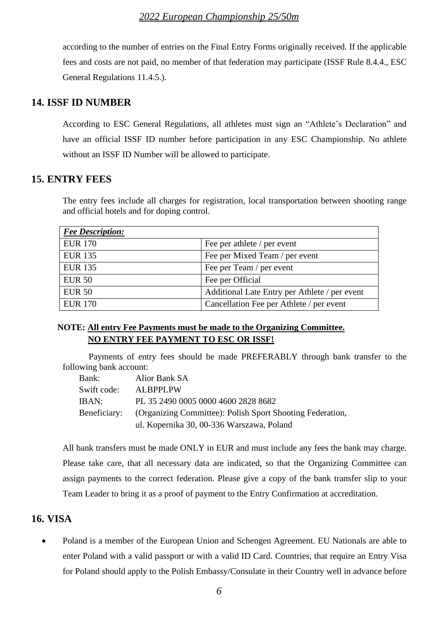according to the number of entries on the Final Entry Forms originally received. If the applicable fees and costs are not paid, no member of that federation may participate (ISSF Rule 8.4.4., ESC General Regulations 11.4.5.).

#### **14. ISSF ID NUMBER**

According to ESC General Regulations, all athletes must sign an "Athlete's Declaration" and have an official ISSF ID number before participation in any ESC Championship. No athlete without an ISSF ID Number will be allowed to participate.

### **15. ENTRY FEES**

The entry fees include all charges for registration, local transportation between shooting range and official hotels and for doping control.

| <b>Fee Description:</b> |                                               |
|-------------------------|-----------------------------------------------|
| <b>EUR 170</b>          | Fee per athlete / per event                   |
| <b>EUR 135</b>          | Fee per Mixed Team / per event                |
| <b>EUR 135</b>          | Fee per Team / per event                      |
| <b>EUR 50</b>           | Fee per Official                              |
| <b>EUR 50</b>           | Additional Late Entry per Athlete / per event |
| <b>EUR 170</b>          | Cancellation Fee per Athlete / per event      |

#### **NOTE: All entry Fee Payments must be made to the Organizing Committee. NO ENTRY FEE PAYMENT TO ESC OR ISSF!**

Payments of entry fees should be made PREFERABLY through bank transfer to the following bank account:

| Bank:        | Alior Bank SA                                             |
|--------------|-----------------------------------------------------------|
| Swift code:  | ALBPPLPW                                                  |
| IBAN:        | PL 35 2490 0005 0000 4600 2828 8682                       |
| Beneficiary: | (Organizing Committee): Polish Sport Shooting Federation, |
|              | ul. Kopernika 30, 00-336 Warszawa, Poland                 |

All bank transfers must be made ONLY in EUR and must include any fees the bank may charge. Please take care, that all necessary data are indicated, so that the Organizing Committee can assign payments to the correct federation. Please give a copy of the bank transfer slip to your Team Leader to bring it as a proof of payment to the Entry Confirmation at accreditation.

#### **16. VISA**

• Poland is a member of the European Union and Schengen Agreement. EU Nationals are able to enter Poland with a valid passport or with a valid ID Card. Countries, that require an Entry Visa for Poland should apply to the Polish Embassy/Consulate in their Country well in advance before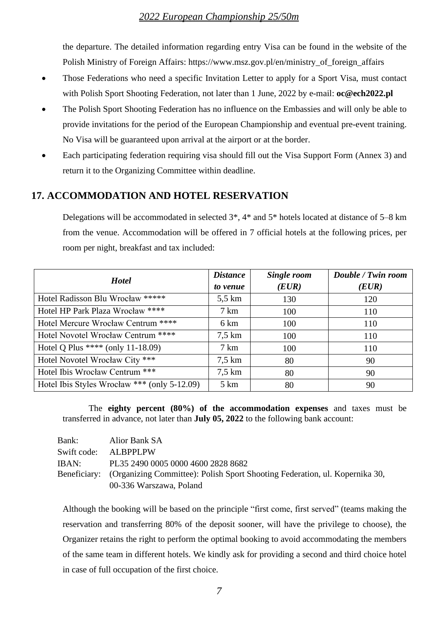the departure. The detailed information regarding entry Visa can be found in the website of the Polish Ministry of Foreign Affairs: [https://www.msz.gov.pl/en/ministry\\_of\\_foreign\\_affairs](https://www.msz.gov.pl/en/ministry_of_foreign_affairs)

- Those Federations who need a specific Invitation Letter to apply for a Sport Visa, must contact with Polish Sport Shooting Federation, not later than 1 June, 2022 by e-mail: **oc@ech2022.pl**
- The Polish Sport Shooting Federation has no influence on the Embassies and will only be able to provide invitations for the period of the European Championship and eventual pre-event training. No Visa will be guaranteed upon arrival at the airport or at the border.
- Each participating federation requiring visa should fill out the Visa Support Form (Annex 3) and return it to the Organizing Committee within deadline.

### **17. ACCOMMODATION AND HOTEL RESERVATION**

Delegations will be accommodated in selected 3\*, 4\* and 5\* hotels located at distance of 5–8 km from the venue. Accommodation will be offered in 7 official hotels at the following prices, per room per night, breakfast and tax included:

| <b>Hotel</b>                                 | <b>Distance</b>  | Single room | Double / Twin room |
|----------------------------------------------|------------------|-------------|--------------------|
|                                              | to venue         | (EUR)       | (EUR)              |
| Hotel Radisson Blu Wrocław *****             | $5,5$ km         | 130         | 120                |
| Hotel HP Park Plaza Wrocław ****             | $7 \text{ km}$   | 100         | 110                |
| Hotel Mercure Wrocław Centrum ****           | 6 km             | 100         | 110                |
| Hotel Novotel Wrocław Centrum ****           | $7.5 \text{ km}$ | 100         | 110                |
| Hotel Q Plus **** (only 11-18.09)            | $7 \text{ km}$   | 100         | 110                |
| Hotel Novotel Wrocław City ***               | $7.5 \text{ km}$ | 80          | 90                 |
| Hotel Ibis Wrocław Centrum ***               | $7.5 \text{ km}$ | 80          | 90                 |
| Hotel Ibis Styles Wrocław *** (only 5-12.09) | $5 \mathrm{km}$  | 80          | 90                 |

The **eighty percent (80%) of the accommodation expenses** and taxes must be transferred in advance, not later than **July 05, 2022** to the following bank account:

| Bank:       | Alior Bank SA                                                                            |
|-------------|------------------------------------------------------------------------------------------|
| Swift code: | ALBPPLPW                                                                                 |
| IBAN:       | PL35 2490 0005 0000 4600 2828 8682                                                       |
|             | Beneficiary: (Organizing Committee): Polish Sport Shooting Federation, ul. Kopernika 30, |
|             | 00-336 Warszawa, Poland                                                                  |

Although the booking will be based on the principle "first come, first served" (teams making the reservation and transferring 80% of the deposit sooner, will have the privilege to choose), the Organizer retains the right to perform the optimal booking to avoid accommodating the members of the same team in different hotels. We kindly ask for providing a second and third choice hotel in case of full occupation of the first choice.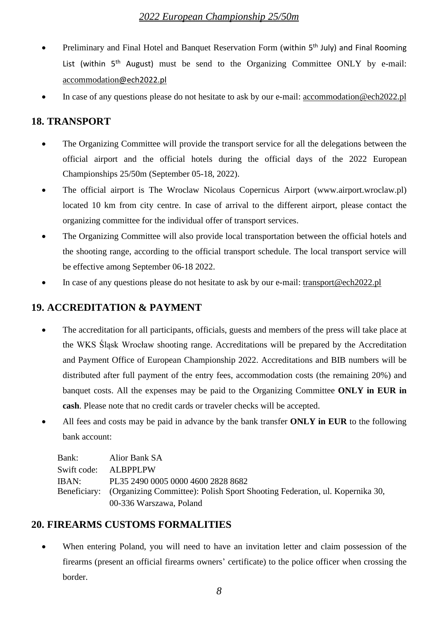- Preliminary and Final Hotel and Banquet Reservation Form (within 5<sup>th</sup> July) and Final Rooming List (within  $5<sup>th</sup>$  August) must be send to the Organizing Committee ONLY by e-mail: [accommodation](mailto:accommodation@ech2022.pl)@ech202[2.pl](mailto:accommodation@ech2022.pl)
- In case of any questions please do not hesitate to ask by our e-mail: <u>accommodation@ech2022.pl</u>

# **18. TRANSPORT**

- The Organizing Committee will provide the transport service for all the delegations between the official airport and the official hotels during the official days of the 2022 European Championships 25/50m (September 05-18, 2022).
- The official airport is The Wroclaw Nicolaus Copernicus Airport [\(www.airport.wroclaw.pl\)](http://www.airport.wroclaw.pl/) located 10 km from city centre. In case of arrival to the different airport, please contact the organizing committee for the individual offer of transport services.
- The Organizing Committee will also provide local transportation between the official hotels and the shooting range, according to the official transport schedule. The local transport service will be effective among September 06-18 2022.
- In case of any questions please do not hesitate to ask by our e-mail: [transport@ech2022.pl](mailto:transport@ech2022.pl)

# **19. ACCREDITATION & PAYMENT**

- The accreditation for all participants, officials, guests and members of the press will take place at the WKS Śląsk Wrocław shooting range. Accreditations will be prepared by the Accreditation and Payment Office of European Championship 2022. Accreditations and BIB numbers will be distributed after full payment of the entry fees, accommodation costs (the remaining 20%) and banquet costs. All the expenses may be paid to the Organizing Committee **ONLY in EUR in cash**. Please note that no credit cards or traveler checks will be accepted.
- All fees and costs may be paid in advance by the bank transfer **ONLY in EUR** to the following bank account:

| Bank: | Alior Bank SA                                                                            |
|-------|------------------------------------------------------------------------------------------|
|       | Swift code: ALBPPLPW                                                                     |
| IBAN: | PL35 2490 0005 0000 4600 2828 8682                                                       |
|       | Beneficiary: (Organizing Committee): Polish Sport Shooting Federation, ul. Kopernika 30, |
|       | 00-336 Warszawa, Poland                                                                  |

# **20. FIREARMS CUSTOMS FORMALITIES**

When entering Poland, you will need to have an invitation letter and claim possession of the firearms (present an official firearms owners' certificate) to the police officer when crossing the border.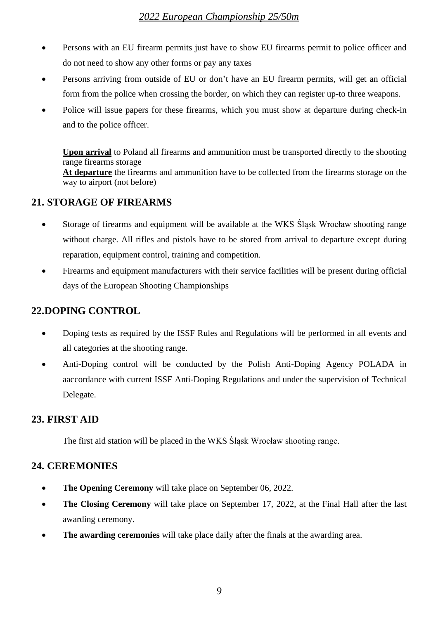- Persons with an EU firearm permits just have to show EU firearms permit to police officer and do not need to show any other forms or pay any taxes
- Persons arriving from outside of EU or don't have an EU firearm permits, will get an official form from the police when crossing the border, on which they can register up-to three weapons.
- Police will issue papers for these firearms, which you must show at departure during check-in and to the police officer.

**Upon arrival** to Poland all firearms and ammunition must be transported directly to the shooting range firearms storage

At departure the firearms and ammunition have to be collected from the firearms storage on the way to airport (not before)

# **21. STORAGE OF FIREARMS**

- Storage of firearms and equipment will be available at the WKS Slask Wrocław shooting range without charge. All rifles and pistols have to be stored from arrival to departure except during reparation, equipment control, training and competition.
- Firearms and equipment manufacturers with their service facilities will be present during official days of the European Shooting Championships

# **22.DOPING CONTROL**

- Doping tests as required by the ISSF Rules and Regulations will be performed in all events and all categories at the shooting range.
- Anti-Doping control will be conducted by the Polish Anti-Doping Agency POLADA in aaccordance with current ISSF Anti-Doping Regulations and under the supervision of Technical Delegate.

# **23. FIRST AID**

The first aid station will be placed in the WKS Śląsk Wrocław shooting range.

# **24. CEREMONIES**

- **The Opening Ceremony** will take place on September 06, 2022.
- **The Closing Ceremony** will take place on September 17, 2022, at the Final Hall after the last awarding ceremony.
- **The awarding ceremonies** will take place daily after the finals at the awarding area.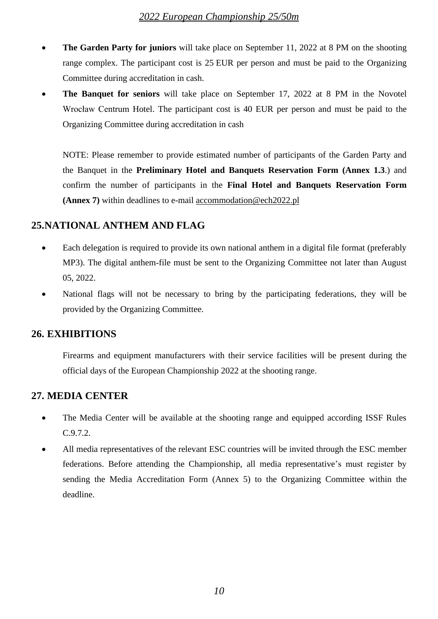- **The Garden Party for juniors** will take place on September 11, 2022 at 8 PM on the shooting range complex. The participant cost is 25 EUR per person and must be paid to the Organizing Committee during accreditation in cash.
- **The Banquet for seniors** will take place on September 17, 2022 at 8 PM in the Novotel Wrocław Centrum Hotel. The participant cost is 40 EUR per person and must be paid to the Organizing Committee during accreditation in cash

NOTE: Please remember to provide estimated number of participants of the Garden Party and the Banquet in the **Preliminary Hotel and Banquets Reservation Form (Annex 1.3**.) and confirm the number of participants in the **Final Hotel and Banquets Reservation Form (Annex 7)** within deadlines to e-mail accommodation@ech2022.pl

### **25.NATIONAL ANTHEM AND FLAG**

- Each delegation is required to provide its own national anthem in a digital file format (preferably MP3). The digital anthem-file must be sent to the Organizing Committee not later than August 05, 2022.
- National flags will not be necessary to bring by the participating federations, they will be provided by the Organizing Committee.

#### **26. EXHIBITIONS**

Firearms and equipment manufacturers with their service facilities will be present during the official days of the European Championship 2022 at the shooting range.

#### **27. MEDIA CENTER**

- The Media Center will be available at the shooting range and equipped according ISSF Rules C.9.7.2.
- All media representatives of the relevant ESC countries will be invited through the ESC member federations. Before attending the Championship, all media representative's must register by sending the Media Accreditation Form (Annex 5) to the Organizing Committee within the deadline.